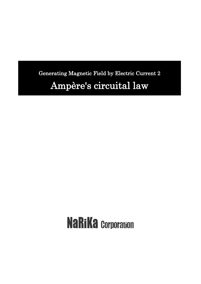Generating Magnetic Field by Electric Current 2 Ampère's circuital law

# **NaRiKa Corporation**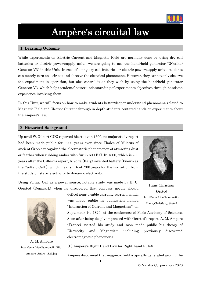

# Ampère's circuital law

## 1. Learning Outcome

While experiments on Electric Current and Magnetic Field are normally done by using dry cell batteries or electric power-supply units, we are going to use the hand-held generator "(Narika) Genecon V3" in this Unit. In case of using dry cell batteries or electric power-supply units, students can merely turn on a circuit and observe the electrical phenomena. However, they cannot only observe the experiment in operation, but also control it as they wish by using the hand-held generator Genecon V3, which helps students' better understanding of experiments objectives through hands-on experience involving them.

In this Unit, we will focus on how to make students better/deeper understand phenomena related to Magnetic Field and Electric Current through in-depth students-centered hands-on experiments about the Ampere's law.

#### 2. Historical Background

Up until W. Gilbert (UK) reported his study in 1600, no major study report had been made public for 2200 years ever since Thales of Miletus of ancient Greece recognized the electrostatic phenomenon of attracting dust or feather when rubbing amber with fur in 600 B.C. In 1800, which is 200 years after the Gilbert's report, A.Volta (Italy) invented battery (known as the "Voltaic Cell"), which means it took 200 years for the transition from the study on static electricity to dynamic electricity.

Using Voltaic Cell as a power source, notable study was made by H. C. Oersted (Denmark) when he discovered that compass needle should



A. M. Ampere [http://en.wikipedia.org/wiki/File:](http://en.wikipedia.org/wiki/File) Ampere\_Andre\_1825.jpg

deflect near a cable carrying current, which was made public in publication named "Interaction of Current and Magnetism", on

September 1<sup>st</sup>, 1820, at the conference of Paris Academy of Sciences. Soon after being deeply impressed with Oersted's report, A. M. Ampere (France) started his study and soon made public his theory of Electricity and Magnetism including previously discovered electromagnetic phenomena.

[1.] Ampere's Right Hand Law (or Right-hand Rule):

Ampere discovered that magnetic field is spirally generated around the



Hans Christian Ørsted <http://en.wikipedia.org/wiki/> Hans\_Christian\_ Ørsted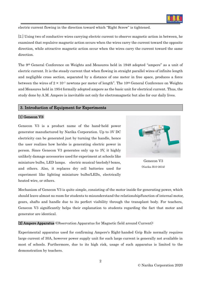

electric current flowing in the direction toward which "Right Screw" is tightened.

[2.] Using two of conductive wires carrying electric current to observe magnetic action in between, he examined that repulsive magnetic action occurs when the wires carry the current toward the opposite direction, while attractive magnetic action occur when the wires carry the current toward the same direction.

The 9th General Conference on Weights and Measures held in 1948 adopted "ampere" as a unit of electric current. It is the steady current that when flowing in straight parallel wires of infinite length and negligible cross section, separated by a distance of one meter in free space, produces a force between the wires of  $2 \times 10^{-7}$  newtons per meter of length". The 10<sup>th</sup> General Conference on Weights and Measures held in 1954 formally adopted ampere as the basic unit for electrical current. Thus, the study done by A.M. Ampere is inevitable not only for electromagnetic but also for our daily lives.

## 3. Introduction of Equipment for Experiments

# [1] Genecon V3:

Genecon V3 is a product name of the hand-held power generator manufactured by Narika Corporation. Up to 3V DC electricity can be generated just by turning the handle, hence the user realizes how he/she is generating electric power in person. Since Genecon V3 generates only up to 3V, it highly unlikely damage accessories used for experiment at schools like miniature bulbs, LED lamps. electric musical (melody) boxes, and others. Also, it replaces dry cell batteries used for experiment like lighting miniature bulbs/LEDs, electrically heated wire, or others.



Genecon V3 (Narika B10-2634)

Mechanism of Genecon V3 is quite simple, consisting of the motor inside for generating power, which should leave almost no room for students to misunderstand the relationship/function of internal motor, gears, shafts and handle due to its perfect visibility through the transplant body. For teachers, Genecon V3 significantly helps their explanation to students regarding the fact that motor and generator are identical.

[2] Ampere Apparatus (Observation Apparatus for Magnetic field around Current):

Experimental apparatus used for confirming Ampere's Right-handed Grip Rule normally requires large current of 30A, however power supply unit for such large current is generally not available in most of schools. Furthermore, due to its high risk, usage of such apparatus is limited to the demonstration by teachers.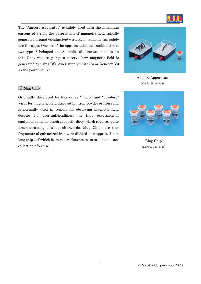

The "Ampere Apparatus" is safely used with the maximum current of 3A for the observation of magnetic field spirally generated around (conductive) wire. Even students can safely use the apps. One set of the apps includes the combination of two types (U-shaped and Solenoid) of observation units. In this Unit, we are going to observe how magnetic field is generated by using DC power supply unit (3A) or Genecon V3 as the power source.



Ampere Apparatus (Narika B10-4753)

# [3] Mag Chip:

Originally developed by Narika as "micro" and "powdery" wires for magnetic field observation. Iron powder or iron sand is normally used in schools for observing magnetic field despite its user-unfriendliness in that experimental equipment and lab bench get easily dirty, which requires quite time-consuming cleanup afterwards. Mag Chips are tiny fragments of galvanized iron wire divided into approx. 2 mm long chips, of which feature is resistance to corrosion and easy collection after use.



"Mag Chip" (Narika B10-3720)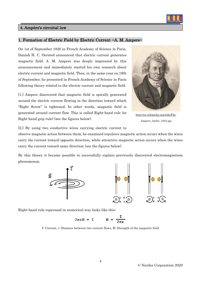# 4. Ampère's circuital law

## 1. Formation of Electric Field by Electric Current ~A. M. Ampere~

On 1st of September 1820 in French Academy of Science in Paris, Danish H. C. Oersted announced that electric current generates magnetic field. A. M. Ampere was deeply impressed by this announcement and immediately started his own research about electric current and magnetic field. Then, in the same year on 19th of September, he presented in French Academy of Science in Paris following theory related to the electric current and magnetic field.

[1.] Ampere discovered that magnetic field is spirally generated around the electric current flowing in the direction toward which "Right Screw" is tightened. In other words, magnetic field is generated around current flow. This is called Right-hand rule (or Right-hand grip rule) (see the figures below).



[http://en.wikipedia.org/wiki/File:](http://en.wikipedia.org/wiki/File) Ampere\_Andre\_1825.jpg

[2.] By using two conductive wires carrying electric current to

observe magnetic action between them, he examined repulsive magnetic action occurs when the wires carry the current toward opposite direction, while attractive magnetic action occurs when the wires carry the current toward same direction (see the figures below).

By this theory it became possible to successfully explain previously discovered electromagnetism phenomenon.



Right-hand rule expressed in numerical way looks like this:

$$
2\pi rH = I \qquad H = \frac{I}{2\pi r}
$$

I: Current, r: Distance between two current flows, H: Strength of the magnetic field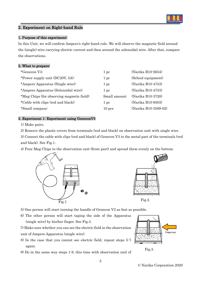

# 2. Experiment on Right-hand Rule

# 1. Purpose of this experiment:

In this Unit, we will confirm Ampere's right-hand rule. We will observe the magnetic field around the (single) wire carrying electric current and then around the solenoidal wire. After that, compare the observations.

# 2. What to prepare:

| *Genecon V3:                               | 1 pc            | (Narika B10-2634)    |
|--------------------------------------------|-----------------|----------------------|
| *Power supply unit (DC20V, 5A):            | 1 pc            | (School equipment)   |
| *Ampere Apparatus (Single wire):           | $1~\mathrm{pc}$ | (Narika B10-4753)    |
| *Ampere Apparatus (Solenoidal wire):       | 1 pc            | (Narika B10-4753)    |
| *Mag Chips (for observing magnetic field): | Small amount    | (Narika B10-3720)    |
| *Cable with clips (red and black):         | 1 pc            | (Narika B10-6503)    |
| *Small compass:                            | $10$ pcs        | (Narika B10-3589-02) |

## 3. Experiment 1: Experiment using GeneconV3

1) Make pairs.

2) Remove the plastic covers from terminals (red and black) on observation unit with single wire.

3) Connect the cable with clips (red and black) of Genecon V3 to the metal part of the terminals (red and black). See Fig.1.

4) Pour Mag Chips to the observation unit (front part) and spread them evenly on the bottom.





5) One person will start turning the handle of Genecon V3 as fast as possible.

6) The other person will start taping the side of the Apparatus (single wire) by his/her finger. See Fig.3.

7) Make sure whether you can see the electric field in the observation unit of Ampere Apparatus (single wire).

- 8) In the case that you cannot see electric field, repeat steps 5-7 again.
- 9) Do in the same way steps 1-8, this time with observation unit of

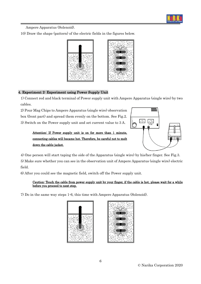

Ampere Apparatus (Solenoid).

10) Draw the shape (pattern) of the electric fields in the figures below.



# 4. Experiment 2: Experiment using Power Supply Unit

1) Connect red and black terminal of Power supply unit with Ampere Apparatus (single wire) by two cables.

2) Pour Mag Chips to Ampere Apparatus (single wire) observation box (front part) and spread them evenly on the bottom. See Fig.2. 3) Switch on the Power supply unit and set current value to 3 A.



# Attention: If Power supply unit is on for more than 1 minute, connecting cables will became hot. Therefore, be careful not to melt down the cable jacket.

4) One person will start taping the side of the Apparatus (single wire) by his/her finger. See Fig.3.

5) Make sure whether you can see in the observation unit of Ampere Apparatus (single wire) electric field.

6) After you could see the magnetic field, switch off the Power supply unit.

#### Caution: Touch the cable from power supply unit by your finger, if the cable is hot, please wait for a while before you proceed to next step.

7) Do in the same way steps 1-6, this time with Ampere Apparatus (Solenoid).